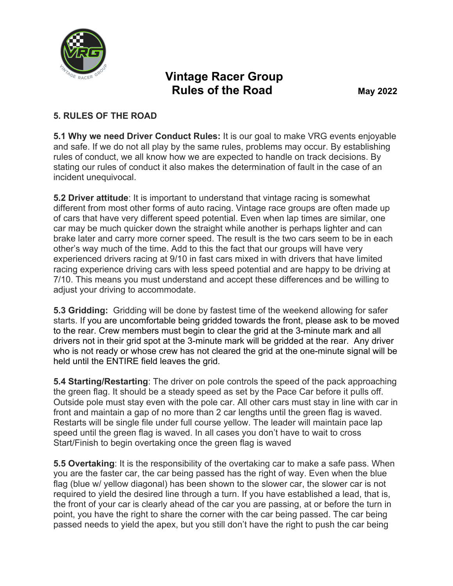

## **Vintage Racer Group Rules of the Road May 2022**

## **5. RULES OF THE ROAD**

**5.1 Why we need Driver Conduct Rules:** It is our goal to make VRG events enjoyable and safe. If we do not all play by the same rules, problems may occur. By establishing rules of conduct, we all know how we are expected to handle on track decisions. By stating our rules of conduct it also makes the determination of fault in the case of an incident unequivocal.

**5.2 Driver attitude**: It is important to understand that vintage racing is somewhat different from most other forms of auto racing. Vintage race groups are often made up of cars that have very different speed potential. Even when lap times are similar, one car may be much quicker down the straight while another is perhaps lighter and can brake later and carry more corner speed. The result is the two cars seem to be in each other's way much of the time. Add to this the fact that our groups will have very experienced drivers racing at 9/10 in fast cars mixed in with drivers that have limited racing experience driving cars with less speed potential and are happy to be driving at 7/10. This means you must understand and accept these differences and be willing to adjust your driving to accommodate.

**5.3 Gridding:** Gridding will be done by fastest time of the weekend allowing for safer starts. If you are uncomfortable being gridded towards the front, please ask to be moved to the rear. Crew members must begin to clear the grid at the 3-minute mark and all drivers not in their grid spot at the 3-minute mark will be gridded at the rear. Any driver who is not ready or whose crew has not cleared the grid at the one-minute signal will be held until the ENTIRE field leaves the grid.

**5.4 Starting/Restarting**: The driver on pole controls the speed of the pack approaching the green flag. It should be a steady speed as set by the Pace Car before it pulls off. Outside pole must stay even with the pole car. All other cars must stay in line with car in front and maintain a gap of no more than 2 car lengths until the green flag is waved. Restarts will be single file under full course yellow. The leader will maintain pace lap speed until the green flag is waved. In all cases you don't have to wait to cross Start/Finish to begin overtaking once the green flag is waved

**5.5 Overtaking**: It is the responsibility of the overtaking car to make a safe pass. When you are the faster car, the car being passed has the right of way. Even when the blue flag (blue w/ yellow diagonal) has been shown to the slower car, the slower car is not required to yield the desired line through a turn. If you have established a lead, that is, the front of your car is clearly ahead of the car you are passing, at or before the turn in point, you have the right to share the corner with the car being passed. The car being passed needs to yield the apex, but you still don't have the right to push the car being